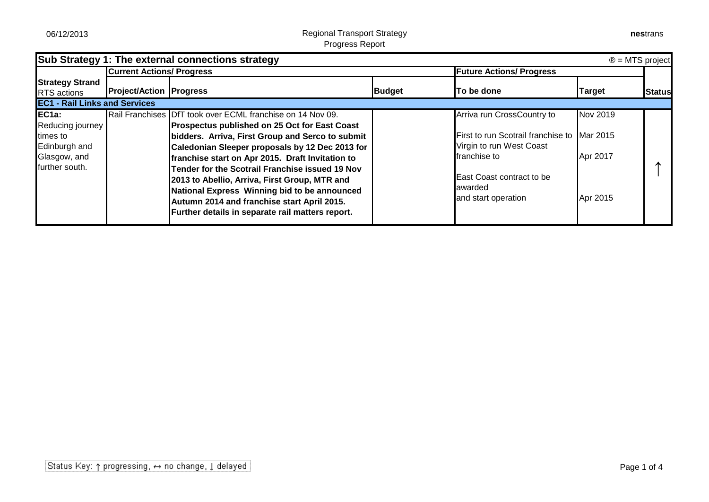|                                                                                             |                                  | Sub Strategy 1: The external connections strategy                                                                                                                                                                                                                                                                                                                                                                                                                                                                                    |                                 |                                                                                                                                                                                      |                                  | $\circledR$ = MTS project |
|---------------------------------------------------------------------------------------------|----------------------------------|--------------------------------------------------------------------------------------------------------------------------------------------------------------------------------------------------------------------------------------------------------------------------------------------------------------------------------------------------------------------------------------------------------------------------------------------------------------------------------------------------------------------------------------|---------------------------------|--------------------------------------------------------------------------------------------------------------------------------------------------------------------------------------|----------------------------------|---------------------------|
|                                                                                             | <b>Current Actions/ Progress</b> |                                                                                                                                                                                                                                                                                                                                                                                                                                                                                                                                      | <b>Future Actions/ Progress</b> |                                                                                                                                                                                      |                                  |                           |
| <b>Strategy Strand</b><br><b>RTS</b> actions                                                | <b>Project/Action Progress</b>   |                                                                                                                                                                                                                                                                                                                                                                                                                                                                                                                                      | <b>Budget</b>                   | To be done                                                                                                                                                                           | <b>Target</b>                    | Status                    |
| <b>EC1 - Rail Links and Services</b>                                                        |                                  |                                                                                                                                                                                                                                                                                                                                                                                                                                                                                                                                      |                                 |                                                                                                                                                                                      |                                  |                           |
| $EC1a$ :<br>Reducing journey<br>times to<br>Edinburgh and<br>Glasgow, and<br>further south. |                                  | Rail Franchises DfT took over ECML franchise on 14 Nov 09.<br><b>Prospectus published on 25 Oct for East Coast</b><br>bidders. Arriva, First Group and Serco to submit<br>Caledonian Sleeper proposals by 12 Dec 2013 for<br>franchise start on Apr 2015. Draft Invitation to<br>Tender for the Scotrail Franchise issued 19 Nov<br>2013 to Abellio, Arriva, First Group, MTR and<br>National Express Winning bid to be announced<br>Autumn 2014 and franchise start April 2015.<br>Further details in separate rail matters report. |                                 | Arriva run CrossCountry to<br>First to run Scotrail franchise to Mar 2015<br>Virgin to run West Coast<br>franchise to<br>East Coast contract to be<br>awarded<br>and start operation | Nov 2019<br>Apr 2017<br>Apr 2015 |                           |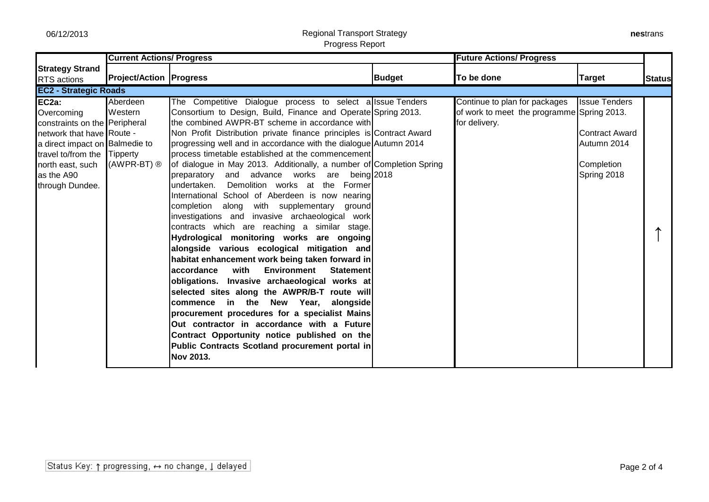## 06/12/2013 Regional Transport Strategy Progress Report

| nestrans |
|----------|
|----------|

|                                                                                                                                                                                                                      | <b>Current Actions/ Progress</b>                |                                                                                                                                                                                                                                                                                                                                                                                                                                                                                                                                                                                                                                                                                                                                                                                                                                                                                                                                                                                                                                                                                                                                                                                                                                                                                                                                     |               | <b>Future Actions/ Progress</b>                                                              |                                                                                           |               |  |  |
|----------------------------------------------------------------------------------------------------------------------------------------------------------------------------------------------------------------------|-------------------------------------------------|-------------------------------------------------------------------------------------------------------------------------------------------------------------------------------------------------------------------------------------------------------------------------------------------------------------------------------------------------------------------------------------------------------------------------------------------------------------------------------------------------------------------------------------------------------------------------------------------------------------------------------------------------------------------------------------------------------------------------------------------------------------------------------------------------------------------------------------------------------------------------------------------------------------------------------------------------------------------------------------------------------------------------------------------------------------------------------------------------------------------------------------------------------------------------------------------------------------------------------------------------------------------------------------------------------------------------------------|---------------|----------------------------------------------------------------------------------------------|-------------------------------------------------------------------------------------------|---------------|--|--|
| <b>Strategy Strand</b><br><b>RTS</b> actions                                                                                                                                                                         | <b>Project/Action Progress</b>                  |                                                                                                                                                                                                                                                                                                                                                                                                                                                                                                                                                                                                                                                                                                                                                                                                                                                                                                                                                                                                                                                                                                                                                                                                                                                                                                                                     | <b>Budget</b> | To be done                                                                                   | <b>Target</b>                                                                             | <b>Status</b> |  |  |
| <b>EC2 - Strategic Roads</b>                                                                                                                                                                                         |                                                 |                                                                                                                                                                                                                                                                                                                                                                                                                                                                                                                                                                                                                                                                                                                                                                                                                                                                                                                                                                                                                                                                                                                                                                                                                                                                                                                                     |               |                                                                                              |                                                                                           |               |  |  |
| EC <sub>2a</sub> :<br>Overcoming<br>constraints on the Peripheral<br>network that have Route -<br>a direct impact on Balmedie to<br>travel to/from the Tipperty<br>north east, such<br>as the A90<br>through Dundee. | Aberdeen<br>Western<br>$(AWPR-BT)$ <sup>®</sup> | The Competitive Dialogue process to select allssue Tenders<br>Consortium to Design, Build, Finance and Operate Spring 2013.<br>the combined AWPR-BT scheme in accordance with<br>Non Profit Distribution private finance principles is Contract Award<br>progressing well and in accordance with the dialogue Autumn 2014<br>process timetable established at the commencement<br>of dialogue in May 2013. Additionally, a number of Completion Spring<br>and advance works are<br>preparatory<br>being $2018$<br>undertaken. Demolition works at the Former<br>International School of Aberdeen is now nearing<br>with supplementary ground<br>completion along<br>investigations and invasive archaeological work<br>contracts which are reaching a similar stage.<br>Hydrological monitoring works are ongoing<br>alongside various ecological mitigation and<br>habitat enhancement work being taken forward in<br>with<br>Environment<br>accordance<br>Statement<br>obligations. Invasive archaeological works at<br>selected sites along the AWPR/B-T route will<br>commence in the New Year, alongside<br>procurement procedures for a specialist Mains<br>Out contractor in accordance with a Future<br>Contract Opportunity notice published on the<br>Public Contracts Scotland procurement portal in<br><b>Nov 2013.</b> |               | Continue to plan for packages<br>of work to meet the programme Spring 2013.<br>for delivery. | <b>Issue Tenders</b><br><b>Contract Award</b><br>Autumn 2014<br>Completion<br>Spring 2018 |               |  |  |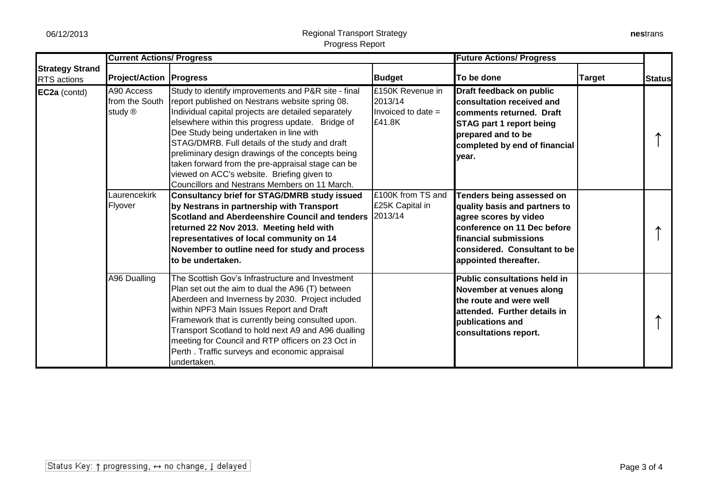|                                       | <b>Current Actions/ Progress</b>        |                                                                                                                                                                                                                                                                                                                                                                                                                                                                                                                         |                                                               | <b>Future Actions/ Progress</b>                                                                                                                                                                              |               |               |
|---------------------------------------|-----------------------------------------|-------------------------------------------------------------------------------------------------------------------------------------------------------------------------------------------------------------------------------------------------------------------------------------------------------------------------------------------------------------------------------------------------------------------------------------------------------------------------------------------------------------------------|---------------------------------------------------------------|--------------------------------------------------------------------------------------------------------------------------------------------------------------------------------------------------------------|---------------|---------------|
| <b>Strategy Strand</b><br>RTS actions | <b>Project/Action   Progress</b>        |                                                                                                                                                                                                                                                                                                                                                                                                                                                                                                                         | <b>Budget</b>                                                 | To be done                                                                                                                                                                                                   | <b>Target</b> | <b>Status</b> |
| EC2a (contd)                          | A90 Access<br>from the South<br>study ® | Study to identify improvements and P&R site - final<br>report published on Nestrans website spring 08.<br>Individual capital projects are detailed separately<br>elsewhere within this progress update. Bridge of<br>Dee Study being undertaken in line with<br>STAG/DMRB. Full details of the study and draft<br>preliminary design drawings of the concepts being<br>taken forward from the pre-appraisal stage can be<br>viewed on ACC's website. Briefing given to<br>Councillors and Nestrans Members on 11 March. | £150K Revenue in<br>2013/14<br>Invoiced to date $=$<br>£41.8K | Draft feedback on public<br>consultation received and<br>comments returned. Draft<br><b>STAG part 1 report being</b><br>prepared and to be<br>completed by end of financial<br>vear.                         |               |               |
|                                       | aurencekirk<br>Flyover                  | <b>Consultancy brief for STAG/DMRB study issued</b><br>by Nestrans in partnership with Transport<br>Scotland and Aberdeenshire Council and tenders<br>returned 22 Nov 2013. Meeting held with<br>representatives of local community on 14<br>November to outline need for study and process<br>to be undertaken.                                                                                                                                                                                                        | £100K from TS and<br>£25K Capital in<br>2013/14               | Tenders being assessed on<br>quality basis and partners to<br>agree scores by video<br>conference on 11 Dec before<br><b>Ifinancial submissions</b><br>considered. Consultant to be<br>appointed thereafter. |               |               |
|                                       | A96 Dualling                            | The Scottish Gov's Infrastructure and Investment<br>Plan set out the aim to dual the A96 (T) between<br>Aberdeen and Inverness by 2030. Project included<br>within NPF3 Main Issues Report and Draft<br>Framework that is currently being consulted upon.<br>Transport Scotland to hold next A9 and A96 dualling<br>meeting for Council and RTP officers on 23 Oct in<br>Perth. Traffic surveys and economic appraisal<br>undertaken.                                                                                   |                                                               | <b>Public consultations held in</b><br>November at venues along<br>the route and were well<br>attended. Further details in<br>publications and<br>consultations report.                                      |               |               |